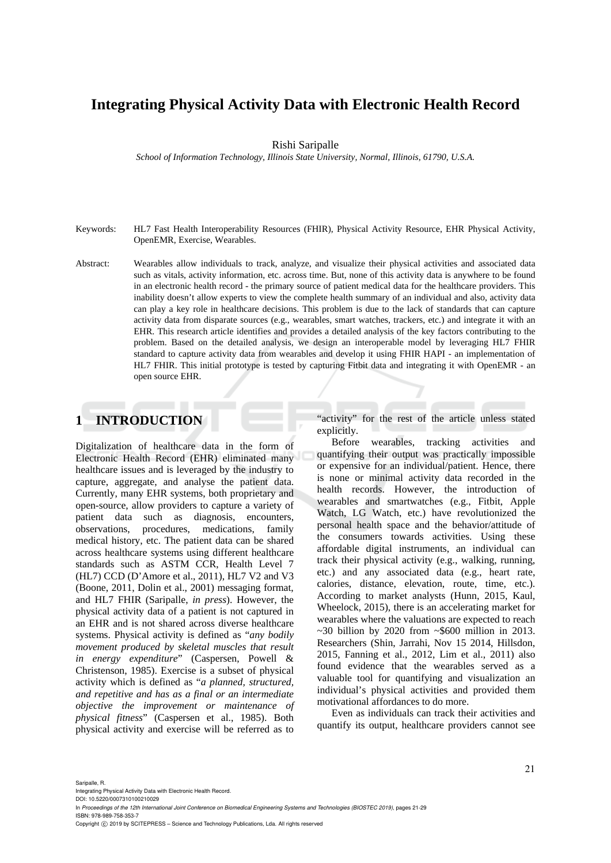# **Integrating Physical Activity Data with Electronic Health Record**

Rishi Saripalle

*School of Information Technology, Illinois State University, Normal, Illinois, 61790, U.S.A.* 

- Keywords: HL7 Fast Health Interoperability Resources (FHIR), Physical Activity Resource, EHR Physical Activity, OpenEMR, Exercise, Wearables.
- Abstract: Wearables allow individuals to track, analyze, and visualize their physical activities and associated data such as vitals, activity information, etc. across time. But, none of this activity data is anywhere to be found in an electronic health record - the primary source of patient medical data for the healthcare providers. This inability doesn't allow experts to view the complete health summary of an individual and also, activity data can play a key role in healthcare decisions. This problem is due to the lack of standards that can capture activity data from disparate sources (e.g., wearables, smart watches, trackers, etc.) and integrate it with an EHR. This research article identifies and provides a detailed analysis of the key factors contributing to the problem. Based on the detailed analysis, we design an interoperable model by leveraging HL7 FHIR standard to capture activity data from wearables and develop it using FHIR HAPI - an implementation of HL7 FHIR. This initial prototype is tested by capturing Fitbit data and integrating it with OpenEMR - an open source EHR.

## **1 INTRODUCTION**

Digitalization of healthcare data in the form of Electronic Health Record (EHR) eliminated many healthcare issues and is leveraged by the industry to capture, aggregate, and analyse the patient data. Currently, many EHR systems, both proprietary and open-source, allow providers to capture a variety of patient data such as diagnosis, encounters, observations, procedures, medications, family medical history, etc. The patient data can be shared across healthcare systems using different healthcare standards such as ASTM CCR, Health Level 7 (HL7) CCD (D'Amore et al., 2011), HL7 V2 and V3 (Boone, 2011, Dolin et al., 2001) messaging format, and HL7 FHIR (Saripalle, *in press*). However, the physical activity data of a patient is not captured in an EHR and is not shared across diverse healthcare systems. Physical activity is defined as "*any bodily movement produced by skeletal muscles that result in energy expenditure*" (Caspersen, Powell & Christenson, 1985). Exercise is a subset of physical activity which is defined as "*a planned, structured, and repetitive and has as a final or an intermediate objective the improvement or maintenance of physical fitness*" (Caspersen et al., 1985). Both physical activity and exercise will be referred as to "activity" for the rest of the article unless stated explicitly.

Before wearables, tracking activities and quantifying their output was practically impossible or expensive for an individual/patient. Hence, there is none or minimal activity data recorded in the health records. However, the introduction of wearables and smartwatches (e.g., Fitbit, Apple Watch, LG Watch, etc.) have revolutionized the personal health space and the behavior/attitude of the consumers towards activities. Using these affordable digital instruments, an individual can track their physical activity (e.g., walking, running, etc.) and any associated data (e.g., heart rate, calories, distance, elevation, route, time, etc.). According to market analysts (Hunn, 2015, Kaul, Wheelock, 2015), there is an accelerating market for wearables where the valuations are expected to reach  $\sim$ 30 billion by 2020 from  $\sim$ \$600 million in 2013. Researchers (Shin, Jarrahi, Nov 15 2014, Hillsdon, 2015, Fanning et al., 2012, Lim et al., 2011) also found evidence that the wearables served as a valuable tool for quantifying and visualization an individual's physical activities and provided them motivational affordances to do more.

Even as individuals can track their activities and quantify its output, healthcare providers cannot see

Saripalle, R.

ISBN: 978-989-758-353-7

Integrating Physical Activity Data with Electronic Health Record.

DOI: 10.5220/0007310100210029 In *Proceedings of the 12th International Joint Conference on Biomedical Engineering Systems and Technologies (BIOSTEC 2019)*, pages 21-29

Copyright (C) 2019 by SCITEPRESS - Science and Technology Publications, Lda. All rights reserved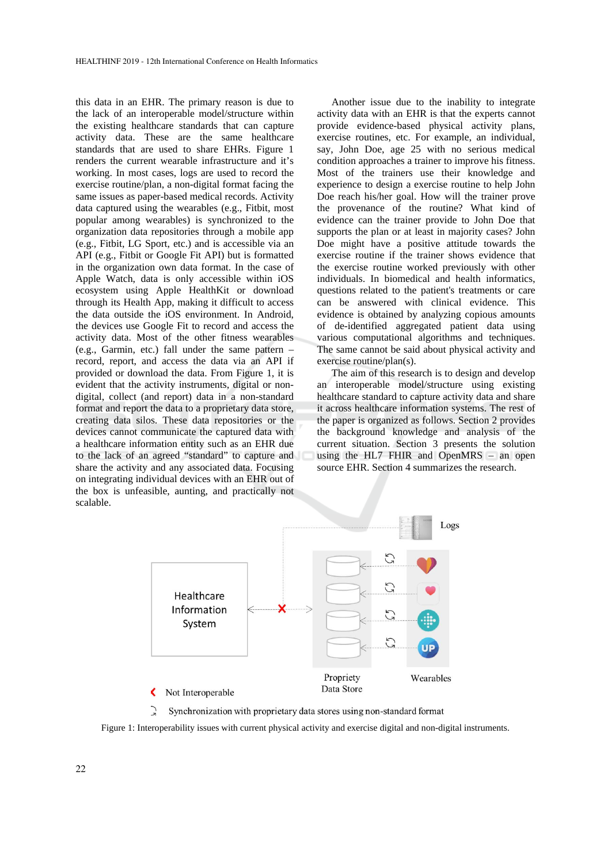this data in an EHR. The primary reason is due to the lack of an interoperable model/structure within the existing healthcare standards that can capture activity data. These are the same healthcare standards that are used to share EHRs. Figure 1 renders the current wearable infrastructure and it's working. In most cases, logs are used to record the exercise routine/plan, a non-digital format facing the same issues as paper-based medical records. Activity data captured using the wearables (e.g., Fitbit, most popular among wearables) is synchronized to the organization data repositories through a mobile app (e.g., Fitbit, LG Sport, etc.) and is accessible via an API (e.g., Fitbit or Google Fit API) but is formatted in the organization own data format. In the case of Apple Watch, data is only accessible within iOS ecosystem using Apple HealthKit or download through its Health App, making it difficult to access the data outside the iOS environment. In Android, the devices use Google Fit to record and access the activity data. Most of the other fitness wearables (e.g., Garmin, etc.) fall under the same pattern – record, report, and access the data via an API if provided or download the data. From Figure 1, it is evident that the activity instruments, digital or nondigital, collect (and report) data in a non-standard format and report the data to a proprietary data store, creating data silos. These data repositories or the devices cannot communicate the captured data with a healthcare information entity such as an EHR due to the lack of an agreed "standard" to capture and share the activity and any associated data. Focusing on integrating individual devices with an EHR out of the box is unfeasible, aunting, and practically not scalable.

Another issue due to the inability to integrate activity data with an EHR is that the experts cannot provide evidence-based physical activity plans, exercise routines, etc. For example, an individual, say, John Doe, age 25 with no serious medical condition approaches a trainer to improve his fitness. Most of the trainers use their knowledge and experience to design a exercise routine to help John Doe reach his/her goal. How will the trainer prove the provenance of the routine? What kind of evidence can the trainer provide to John Doe that supports the plan or at least in majority cases? John Doe might have a positive attitude towards the exercise routine if the trainer shows evidence that the exercise routine worked previously with other individuals. In biomedical and health informatics, questions related to the patient's treatments or care can be answered with clinical evidence. This evidence is obtained by analyzing copious amounts of de-identified aggregated patient data using various computational algorithms and techniques. The same cannot be said about physical activity and exercise routine/plan(s).

The aim of this research is to design and develop an interoperable model/structure using existing healthcare standard to capture activity data and share it across healthcare information systems. The rest of the paper is organized as follows. Section 2 provides the background knowledge and analysis of the current situation. Section 3 presents the solution using the HL7 FHIR and OpenMRS – an open source EHR. Section 4 summarizes the research.



Synchronization with proprietary data stores using non-standard format

Figure 1: Interoperability issues with current physical activity and exercise digital and non-digital instruments.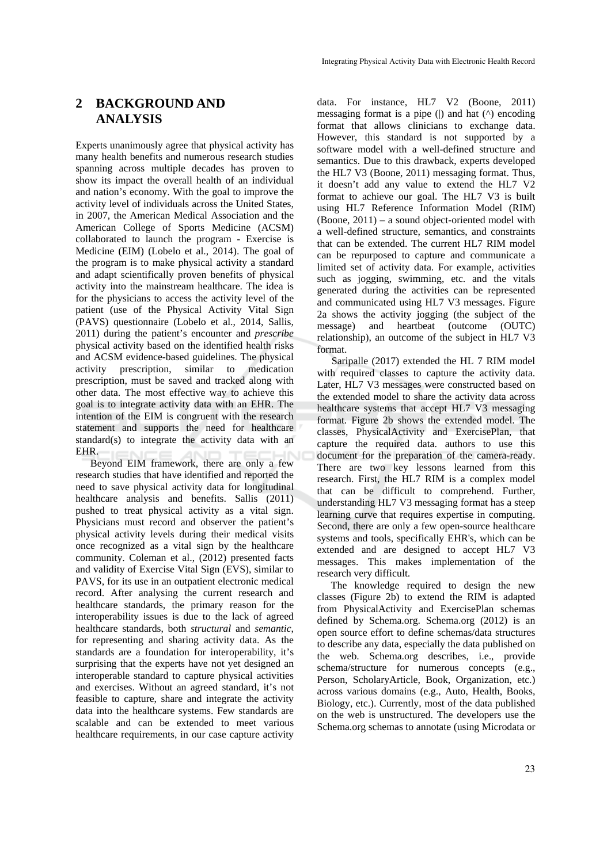### **2 BACKGROUND AND ANALYSIS**

Experts unanimously agree that physical activity has many health benefits and numerous research studies spanning across multiple decades has proven to show its impact the overall health of an individual and nation's economy. With the goal to improve the activity level of individuals across the United States, in 2007, the American Medical Association and the American College of Sports Medicine (ACSM) collaborated to launch the program - Exercise is Medicine (EIM) (Lobelo et al., 2014). The goal of the program is to make physical activity a standard and adapt scientifically proven benefits of physical activity into the mainstream healthcare. The idea is for the physicians to access the activity level of the patient (use of the Physical Activity Vital Sign (PAVS) questionnaire (Lobelo et al., 2014, Sallis, 2011) during the patient's encounter and *prescribe* physical activity based on the identified health risks and ACSM evidence-based guidelines. The physical activity prescription, similar to medication prescription, must be saved and tracked along with other data. The most effective way to achieve this goal is to integrate activity data with an EHR. The intention of the EIM is congruent with the research statement and supports the need for healthcare standard(s) to integrate the activity data with an EHR.

Beyond EIM framework, there are only a few research studies that have identified and reported the need to save physical activity data for longitudinal healthcare analysis and benefits. Sallis (2011) pushed to treat physical activity as a vital sign. Physicians must record and observer the patient's physical activity levels during their medical visits once recognized as a vital sign by the healthcare community. Coleman et al., (2012) presented facts and validity of Exercise Vital Sign (EVS), similar to PAVS, for its use in an outpatient electronic medical record. After analysing the current research and healthcare standards, the primary reason for the interoperability issues is due to the lack of agreed healthcare standards, both *structural* and *semantic*, for representing and sharing activity data. As the standards are a foundation for interoperability, it's surprising that the experts have not yet designed an interoperable standard to capture physical activities and exercises. Without an agreed standard, it's not feasible to capture, share and integrate the activity data into the healthcare systems. Few standards are scalable and can be extended to meet various healthcare requirements, in our case capture activity

data. For instance, HL7 V2 (Boone, 2011) messaging format is a pipe  $($ ) and hat  $($ <sup> $\land$ </sup> encoding format that allows clinicians to exchange data. However, this standard is not supported by a software model with a well-defined structure and semantics. Due to this drawback, experts developed the HL7 V3 (Boone, 2011) messaging format. Thus, it doesn't add any value to extend the HL7 V2 format to achieve our goal. The HL7 V3 is built using HL7 Reference Information Model (RIM) (Boone, 2011) – a sound object-oriented model with a well-defined structure, semantics, and constraints that can be extended. The current HL7 RIM model can be repurposed to capture and communicate a limited set of activity data. For example, activities such as jogging, swimming, etc. and the vitals generated during the activities can be represented and communicated using HL7 V3 messages. Figure 2a shows the activity jogging (the subject of the message) and heartbeat (outcome (OUTC) relationship), an outcome of the subject in HL7 V3 format.

Saripalle (2017) extended the HL 7 RIM model with required classes to capture the activity data. Later, HL7 V3 messages were constructed based on the extended model to share the activity data across healthcare systems that accept HL7 V3 messaging format. Figure 2b shows the extended model. The classes, PhysicalActivity and ExercisePlan, that capture the required data. authors to use this document for the preparation of the camera-ready. There are two key lessons learned from this research. First, the HL7 RIM is a complex model that can be difficult to comprehend. Further, understanding HL7 V3 messaging format has a steep learning curve that requires expertise in computing. Second, there are only a few open-source healthcare systems and tools, specifically EHR's, which can be extended and are designed to accept HL7 V3 messages. This makes implementation of the research very difficult.

The knowledge required to design the new classes (Figure 2b) to extend the RIM is adapted from PhysicalActivity and ExercisePlan schemas defined by Schema.org. Schema.org (2012) is an open source effort to define schemas/data structures to describe any data, especially the data published on the web. Schema.org describes, i.e., provide schema/structure for numerous concepts (e.g., Person, ScholaryArticle, Book, Organization, etc.) across various domains (e.g., Auto, Health, Books, Biology, etc.). Currently, most of the data published on the web is unstructured. The developers use the Schema.org schemas to annotate (using Microdata or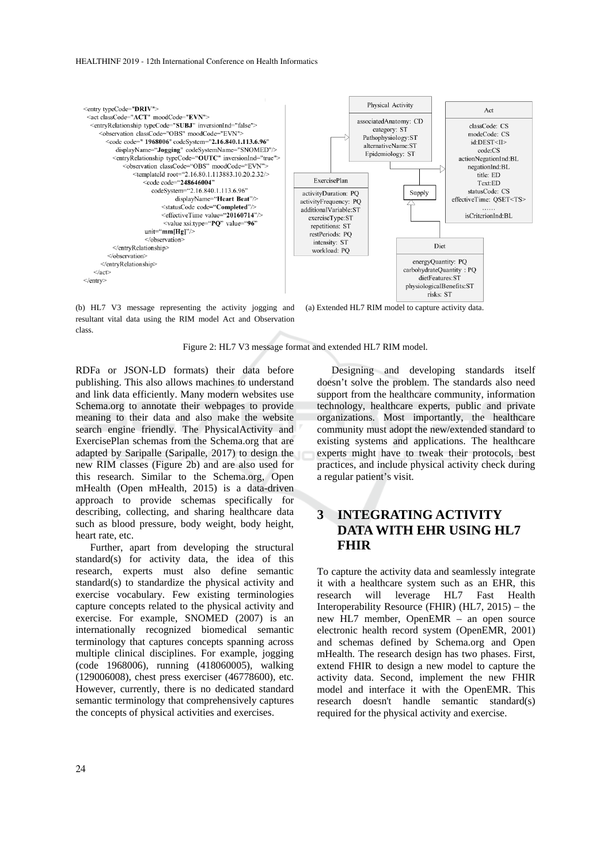#### HEALTHINF 2019 - 12th International Conference on Health Informatics



(b) HL7 V3 message representing the activity jogging and resultant vital data using the RIM model Act and Observation class.

(a) Extended HL7 RIM model to capture activity data.

Figure 2: HL7 V3 message format and extended HL7 RIM model.

RDFa or JSON-LD formats) their data before publishing. This also allows machines to understand and link data efficiently. Many modern websites use Schema.org to annotate their webpages to provide meaning to their data and also make the website search engine friendly. The PhysicalActivity and ExercisePlan schemas from the Schema.org that are adapted by Saripalle (Saripalle, 2017) to design the new RIM classes (Figure 2b) and are also used for this research. Similar to the Schema.org, Open mHealth (Open mHealth, 2015) is a data-driven approach to provide schemas specifically for describing, collecting, and sharing healthcare data such as blood pressure, body weight, body height, heart rate, etc.

Further, apart from developing the structural standard(s) for activity data, the idea of this research, experts must also define semantic standard(s) to standardize the physical activity and exercise vocabulary. Few existing terminologies capture concepts related to the physical activity and exercise. For example, SNOMED (2007) is an internationally recognized biomedical semantic terminology that captures concepts spanning across multiple clinical disciplines. For example, jogging (code 1968006), running (418060005), walking (129006008), chest press exerciser (46778600), etc. However, currently, there is no dedicated standard semantic terminology that comprehensively captures the concepts of physical activities and exercises.

Designing and developing standards itself doesn't solve the problem. The standards also need support from the healthcare community, information technology, healthcare experts, public and private organizations. Most importantly, the healthcare community must adopt the new/extended standard to existing systems and applications. The healthcare experts might have to tweak their protocols, best practices, and include physical activity check during a regular patient's visit.

## **3 INTEGRATING ACTIVITY DATA WITH EHR USING HL7 FHIR**

To capture the activity data and seamlessly integrate it with a healthcare system such as an EHR, this research will leverage HL7 Fast Health Interoperability Resource (FHIR) (HL7, 2015) – the new HL7 member, OpenEMR – an open source electronic health record system (OpenEMR, 2001) and schemas defined by Schema.org and Open mHealth. The research design has two phases. First, extend FHIR to design a new model to capture the activity data. Second, implement the new FHIR model and interface it with the OpenEMR. This research doesn't handle semantic standard(s) required for the physical activity and exercise.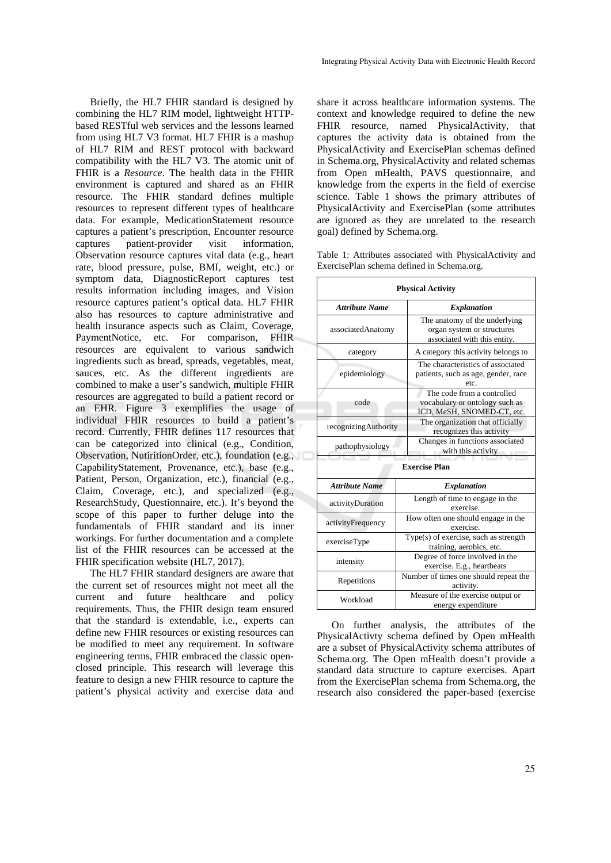Briefly, the HL7 FHIR standard is designed by combining the HL7 RIM model, lightweight HTTPbased RESTful web services and the lessons learned from using HL7 V3 format. HL7 FHIR is a mashup of HL7 RIM and REST protocol with backward compatibility with the HL7 V3. The atomic unit of FHIR is a *Resource*. The health data in the FHIR environment is captured and shared as an FHIR resource. The FHIR standard defines multiple resources to represent different types of healthcare data. For example, MedicationStatement resource captures a patient's prescription, Encounter resource captures patient-provider visit information, Observation resource captures vital data (e.g., heart rate, blood pressure, pulse, BMI, weight, etc.) or symptom data, DiagnosticReport captures test results information including images, and Vision resource captures patient's optical data. HL7 FHIR also has resources to capture administrative and health insurance aspects such as Claim, Coverage, PaymentNotice, etc. For comparison, FHIR resources are equivalent to various sandwich ingredients such as bread, spreads, vegetables, meat, sauces, etc. As the different ingredients are combined to make a user's sandwich, multiple FHIR resources are aggregated to build a patient record or an EHR. Figure 3 exemplifies the usage of individual FHIR resources to build a patient's record. Currently, FHIR defines 117 resources that can be categorized into clinical (e.g., Condition, Observation, NutiritionOrder, etc.), foundation (e.g., CapabilityStatement, Provenance, etc.), base (e.g., Patient, Person, Organization, etc.), financial (e.g., Claim, Coverage, etc.), and specialized (e.g., ResearchStudy, Questionnaire, etc.). It's beyond the scope of this paper to further deluge into the fundamentals of FHIR standard and its inner workings. For further documentation and a complete list of the FHIR resources can be accessed at the FHIR specification website (HL7, 2017).

The HL7 FHIR standard designers are aware that the current set of resources might not meet all the current and future healthcare and policy requirements. Thus, the FHIR design team ensured that the standard is extendable, i.e., experts can define new FHIR resources or existing resources can be modified to meet any requirement. In software engineering terms, FHIR embraced the classic openclosed principle. This research will leverage this feature to design a new FHIR resource to capture the patient's physical activity and exercise data and

share it across healthcare information systems. The context and knowledge required to define the new FHIR resource, named PhysicalActivity, that captures the activity data is obtained from the PhysicalActivity and ExercisePlan schemas defined in Schema.org, PhysicalActivity and related schemas from Open mHealth, PAVS questionnaire, and knowledge from the experts in the field of exercise science. Table 1 shows the primary attributes of PhysicalActivity and ExercisePlan (some attributes are ignored as they are unrelated to the research goal) defined by Schema.org.

Table 1: Attributes associated with PhysicalActivity and ExercisePlan schema defined in Schema.org.

| <b>Physical Activity</b> |                                                                                             |  |  |  |  |
|--------------------------|---------------------------------------------------------------------------------------------|--|--|--|--|
| <b>Attribute Name</b>    | <b>Explanation</b>                                                                          |  |  |  |  |
| associatedAnatomy        | The anatomy of the underlying<br>organ system or structures<br>associated with this entity. |  |  |  |  |
| category                 | A category this activity belongs to                                                         |  |  |  |  |
| epidemiology             | The characteristics of associated<br>patients, such as age, gender, race<br>etc.            |  |  |  |  |
| code                     | The code from a controlled<br>vocabulary or ontology such as<br>ICD, MeSH, SNOMED-CT, etc.  |  |  |  |  |
| recognizingAuthority     | The organization that officially<br>recognizes this activity                                |  |  |  |  |
| pathophysiology          | Changes in functions associated<br>with this activity.                                      |  |  |  |  |
| <b>Exercise Plan</b>     |                                                                                             |  |  |  |  |
| <b>Attribute Name</b>    | Explanation                                                                                 |  |  |  |  |
| activityDuration         | Length of time to engage in the<br>exercise.                                                |  |  |  |  |
| activityFrequency        | How often one should engage in the<br>exercise.                                             |  |  |  |  |
| exerciseType             | $Type(s)$ of exercise, such as strength<br>training, aerobics, etc.                         |  |  |  |  |
| intensity                | Degree of force involved in the<br>exercise. E.g., heartbeats                               |  |  |  |  |
| Repetitions              | Number of times one should repeat the<br>activity.                                          |  |  |  |  |
| Workload                 | Measure of the exercise output or<br>energy expenditure                                     |  |  |  |  |

On further analysis, the attributes of the PhysicalActivty schema defined by Open mHealth are a subset of PhysicalActivity schema attributes of Schema.org. The Open mHealth doesn't provide a standard data structure to capture exercises. Apart from the ExercisePlan schema from Schema.org, the research also considered the paper-based (exercise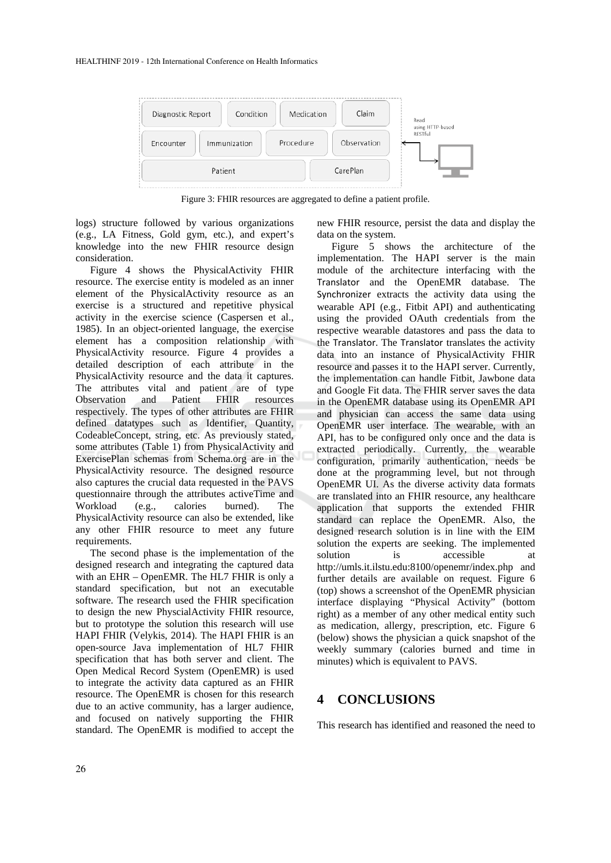

Figure 3: FHIR resources are aggregated to define a patient profile.

logs) structure followed by various organizations (e.g., LA Fitness, Gold gym, etc.), and expert's knowledge into the new FHIR resource design consideration.

Figure 4 shows the PhysicalActivity FHIR resource. The exercise entity is modeled as an inner element of the PhysicalActivity resource as an exercise is a structured and repetitive physical activity in the exercise science (Caspersen et al., 1985). In an object-oriented language, the exercise element has a composition relationship with PhysicalActivity resource. Figure 4 provides a detailed description of each attribute in the PhysicalActivity resource and the data it captures. The attributes vital and patient are of type Observation and Patient FHIR resources respectively. The types of other attributes are FHIR defined datatypes such as Identifier, Quantity, CodeableConcept, string, etc. As previously stated, some attributes (Table 1) from PhysicalActivity and ExercisePlan schemas from Schema.org are in the PhysicalActivity resource. The designed resource also captures the crucial data requested in the PAVS questionnaire through the attributes activeTime and Workload (e.g., calories burned). The PhysicalActivity resource can also be extended, like any other FHIR resource to meet any future requirements.

The second phase is the implementation of the designed research and integrating the captured data with an EHR – OpenEMR. The HL7 FHIR is only a standard specification, but not an executable software. The research used the FHIR specification to design the new PhyscialActivity FHIR resource, but to prototype the solution this research will use HAPI FHIR (Velykis, 2014). The HAPI FHIR is an open-source Java implementation of HL7 FHIR specification that has both server and client. The Open Medical Record System (OpenEMR) is used to integrate the activity data captured as an FHIR resource. The OpenEMR is chosen for this research due to an active community, has a larger audience, and focused on natively supporting the FHIR standard. The OpenEMR is modified to accept the new FHIR resource, persist the data and display the data on the system.

Figure 5 shows the architecture of the implementation. The HAPI server is the main module of the architecture interfacing with the Translator and the OpenEMR database. The Synchronizer extracts the activity data using the wearable API (e.g., Fitbit API) and authenticating using the provided OAuth credentials from the respective wearable datastores and pass the data to the Translator. The Translator translates the activity data into an instance of PhysicalActivity FHIR resource and passes it to the HAPI server. Currently, the implementation can handle Fitbit, Jawbone data and Google Fit data. The FHIR server saves the data in the OpenEMR database using its OpenEMR API and physician can access the same data using OpenEMR user interface. The wearable, with an API, has to be configured only once and the data is extracted periodically. Currently, the wearable configuration, primarily authentication, needs be done at the programming level, but not through OpenEMR UI. As the diverse activity data formats are translated into an FHIR resource, any healthcare application that supports the extended FHIR standard can replace the OpenEMR. Also, the designed research solution is in line with the EIM solution the experts are seeking. The implemented solution is accessible at http://umls.it.ilstu.edu:8100/openemr/index.php and further details are available on request. Figure 6 (top) shows a screenshot of the OpenEMR physician interface displaying "Physical Activity" (bottom right) as a member of any other medical entity such as medication, allergy, prescription, etc. Figure 6 (below) shows the physician a quick snapshot of the weekly summary (calories burned and time in minutes) which is equivalent to PAVS.

### **4 CONCLUSIONS**

This research has identified and reasoned the need to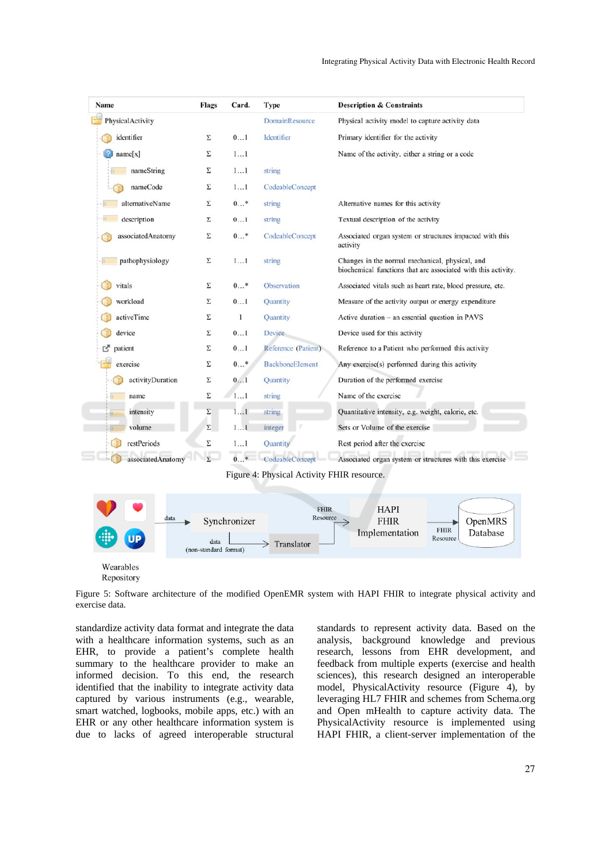| Name              | Flags | Card. | Type                   | <b>Description &amp; Constraints</b>                                                                             |
|-------------------|-------|-------|------------------------|------------------------------------------------------------------------------------------------------------------|
| PhysicalActivity  |       |       | <b>DomainResource</b>  | Physical activity model to capture activity data                                                                 |
| identifier        | Σ     | 01    | Identifier             | Primary identifier for the activity                                                                              |
| name[x]           | Σ     | 11    |                        | Name of the activity, either a string or a code                                                                  |
| nameString        | Σ     | 11    | string                 |                                                                                                                  |
| nameCode          | Σ     | 11    | CodeableConcept        |                                                                                                                  |
| alternativeName   | Σ     | $0*$  | string                 | Alternative names for this activity                                                                              |
| description       | Σ     | 01    | string                 | Textual description of the activity                                                                              |
| associatedAnatomy | Σ     | $0*$  | CodeableConcept        | Associated organ system or structures impacted with this<br>activity                                             |
| pathophysiology   | Σ     | 11    | string                 | Changes in the normal mechanical, physical, and<br>biochemical functions that are associated with this activity. |
| vitals            | Σ     | $0*$  | Observation            | Associated vitals such as heart rate, blood pressure, etc.                                                       |
| workload          | Σ     | 01    | Quantity               | Measure of the activity output or energy expenditure                                                             |
| activeTime        | Σ     | 1     | Quantity               | Active duration - an essential question in PAVS                                                                  |
| device            | Σ     | 01    | Device                 | Device used for this activity                                                                                    |
| rð<br>patient     | Σ     | 01    | Reference (Patient)    | Reference to a Patient who performed this activity                                                               |
| exercise          | Σ     | $0*$  | <b>BackboneElement</b> | Any exercise(s) performed during this activity                                                                   |
| activityDuration  | Σ     | 01    | Quantity               | Duration of the performed exercise                                                                               |
| name              | Σ     | 11    | string                 | Name of the exercise                                                                                             |
| intensity<br>福    | Σ     | 11    | string                 | Quantitative intensity, e.g. weight, calorie, etc.                                                               |
| volume            | Σ     | 11    | integer                | Sets or Volume of the exercise                                                                                   |
| restPeriods       | Σ     | 11    | <b>Quantity</b>        | Rest period after the exercise                                                                                   |
| associatedAnatomy | Σ     | $0*$  | CodeableConcept        | Associated organ system or structures with this exercise                                                         |

Figure 4: Physical Activity FHIR resource.



Repository

Figure 5: Software architecture of the modified OpenEMR system with HAPI FHIR to integrate physical activity and exercise data.

standardize activity data format and integrate the data with a healthcare information systems, such as an EHR, to provide a patient's complete health summary to the healthcare provider to make an informed decision. To this end, the research identified that the inability to integrate activity data captured by various instruments (e.g., wearable, smart watched, logbooks, mobile apps, etc.) with an EHR or any other healthcare information system is due to lacks of agreed interoperable structural standards to represent activity data. Based on the analysis, background knowledge and previous research, lessons from EHR development, and feedback from multiple experts (exercise and health sciences), this research designed an interoperable model, PhysicalActivity resource (Figure 4), by leveraging HL7 FHIR and schemes from Schema.org and Open mHealth to capture activity data. The PhysicalActivity resource is implemented using HAPI FHIR, a client-server implementation of the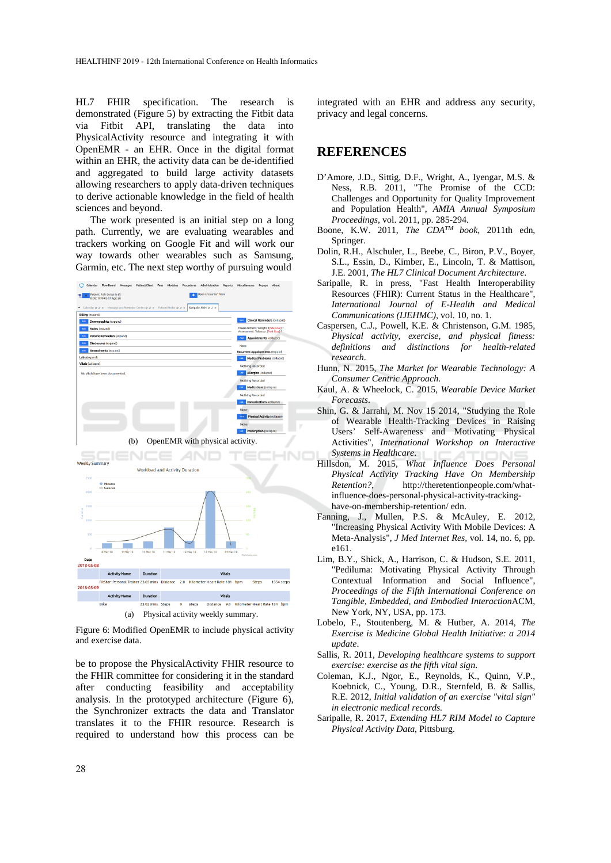HL7 FHIR specification. The research is demonstrated (Figure 5) by extracting the Fitbit data via Fitbit API, translating the data into PhysicalActivity resource and integrating it with OpenEMR - an EHR. Once in the digital format within an EHR, the activity data can be de-identified and aggregated to build large activity datasets allowing researchers to apply data-driven techniques to derive actionable knowledge in the field of health sciences and beyond.

The work presented is an initial step on a long path. Currently, we are evaluating wearables and trackers working on Google Fit and will work our way towards other wearables such as Samsung, Garmin, etc. The next step worthy of pursuing would



Figure 6: Modified OpenEMR to include physical activity and exercise data.

be to propose the PhysicalActivity FHIR resource to the FHIR committee for considering it in the standard after conducting feasibility and acceptability analysis. In the prototyped architecture (Figure 6), the Synchronizer extracts the data and Translator translates it to the FHIR resource. Research is required to understand how this process can be integrated with an EHR and address any security, privacy and legal concerns.

### **REFERENCES**

- D'Amore, J.D., Sittig, D.F., Wright, A., Iyengar, M.S. & Ness, R.B. 2011, "The Promise of the CCD: Challenges and Opportunity for Quality Improvement and Population Health", *AMIA Annual Symposium Proceedings,* vol. 2011, pp. 285-294.
- Boone, K.W. 2011, *The CDATM book,* 2011th edn, Springer.
- Dolin, R.H., Alschuler, L., Beebe, C., Biron, P.V., Boyer, S.L., Essin, D., Kimber, E., Lincoln, T. & Mattison, J.E. 2001, *The HL7 Clinical Document Architecture*.
- Saripalle, R. in press, "Fast Health Interoperability Resources (FHIR): Current Status in the Healthcare", *International Journal of E-Health and Medical Communications (IJEHMC),* vol. 10, no. 1.
- Caspersen, C.J., Powell, K.E. & Christenson, G.M. 1985, *Physical activity, exercise, and physical fitness: definitions and distinctions for health-related research*.
- Hunn, N. 2015, *The Market for Wearable Technology: A Consumer Centric Approach*.
- Kaul, A. & Wheelock, C. 2015, *Wearable Device Market Forecasts*.
- Shin, G. & Jarrahi, M. Nov 15 2014, "Studying the Role of Wearable Health-Tracking Devices in Raising Users' Self-Awareness and Motivating Physical Activities", *International Workshop on Interactive Systems in Healthcare*.
- Hillsdon, M. 2015, *What Influence Does Personal Physical Activity Tracking Have On Membership Retention?*, http://theretentionpeople.com/whatinfluence-does-personal-physical-activity-trackinghave-on-membership-retention/ edn.
- Fanning, J., Mullen, P.S. & McAuley, E. 2012, "Increasing Physical Activity With Mobile Devices: A Meta-Analysis", *J Med Internet Res,* vol. 14, no. 6, pp. e161.
- Lim, B.Y., Shick, A., Harrison, C. & Hudson, S.E. 2011, "Pediluma: Motivating Physical Activity Through Contextual Information and Social Influence", *Proceedings of the Fifth International Conference on Tangible, Embedded, and Embodied Interaction*ACM, New York, NY, USA, pp. 173.
- Lobelo, F., Stoutenberg, M. & Hutber, A. 2014, *The Exercise is Medicine Global Health Initiative: a 2014 update*.
- Sallis, R. 2011, *Developing healthcare systems to support exercise: exercise as the fifth vital sign*.
- Coleman, K.J., Ngor, E., Reynolds, K., Quinn, V.P., Koebnick, C., Young, D.R., Sternfeld, B. & Sallis, R.E. 2012, *Initial validation of an exercise "vital sign" in electronic medical records.*
- Saripalle, R. 2017, *Extending HL7 RIM Model to Capture Physical Activity Data*, Pittsburg.